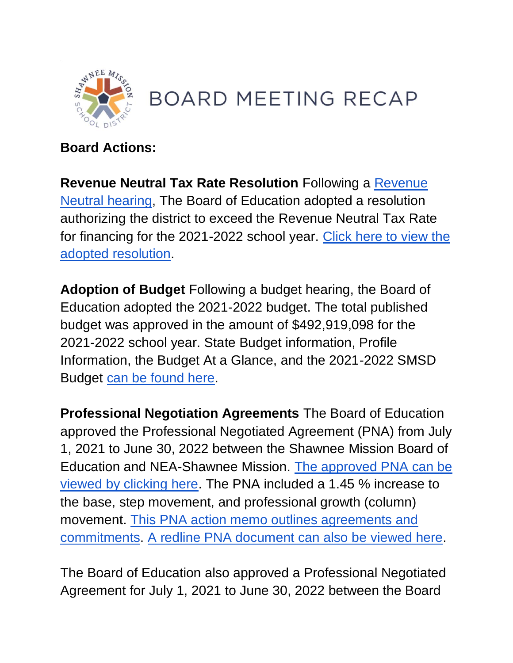

## **BOARD MEETING RECAP**

## **Board Actions:**

**Revenue Neutral Tax Rate Resolution** Following a [Revenue](http://go.boarddocs.com/ks/smsd/Board.nsf/goto?open&id=C5UH8Y470EDF)  [Neutral hearing,](http://go.boarddocs.com/ks/smsd/Board.nsf/goto?open&id=C5UH8Y470EDF) The Board of Education adopted a resolution authorizing the district to exceed the Revenue Neutral Tax Rate for financing for the 2021-2022 school year. [Click here to view the](https://go.boarddocs.com/ks/smsd/Board.nsf/files/C5XM4U57EE02/$file/RNR%20Resolution.pdf)  [adopted resolution.](https://go.boarddocs.com/ks/smsd/Board.nsf/files/C5XM4U57EE02/$file/RNR%20Resolution.pdf)

**Adoption of Budget** Following a budget hearing, the Board of Education adopted the 2021-2022 budget. The total published budget was approved in the amount of \$492,919,098 for the 2021-2022 school year. State Budget information, Profile Information, the Budget At a Glance, and the 2021-2022 SMSD Budget [can be found here.](http://go.boarddocs.com/ks/smsd/Board.nsf/goto?open&id=C5XLVX569CF7)

**Professional Negotiation Agreements** The Board of Education approved the Professional Negotiated Agreement (PNA) from July 1, 2021 to June 30, 2022 between the Shawnee Mission Board of Education and NEA-Shawnee Mission. [The approved PNA can be](https://go.boarddocs.com/ks/smsd/Board.nsf/files/C5YSHN70F608/$file/FINAL%20PNA%202021-2022.pdf)  [viewed by clicking here.](https://go.boarddocs.com/ks/smsd/Board.nsf/files/C5YSHN70F608/$file/FINAL%20PNA%202021-2022.pdf) The PNA included a 1.45 % increase to the base, step movement, and professional growth (column) movement. [This PNA action memo outlines agreements and](https://go.boarddocs.com/ks/smsd/Board.nsf/files/C5YQX26AA841/$file/PNA%20Action%20Memo%20(21-22).pdf)  [commitments.](https://go.boarddocs.com/ks/smsd/Board.nsf/files/C5YQX26AA841/$file/PNA%20Action%20Memo%20(21-22).pdf) [A redline PNA document can also be viewed here.](https://go.boarddocs.com/ks/smsd/Board.nsf/files/C5YQWS6A9D1C/$file/REDLINE%20PNA%202021-2022.pdf)

The Board of Education also approved a Professional Negotiated Agreement for July 1, 2021 to June 30, 2022 between the Board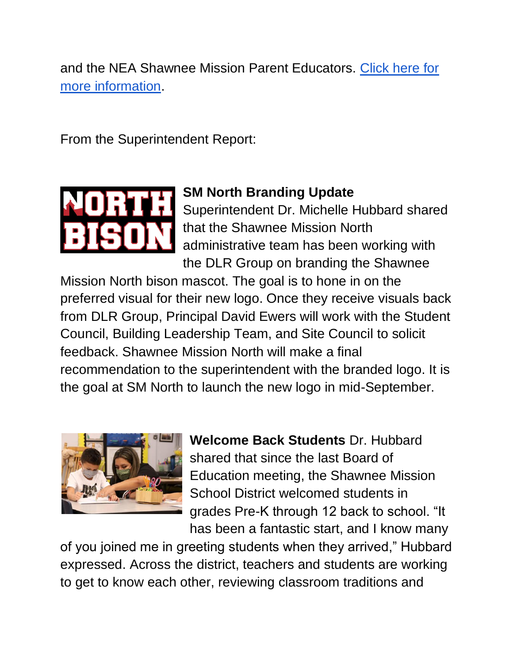and the NEA Shawnee Mission Parent Educators. [Click here for](http://go.boarddocs.com/ks/smsd/Board.nsf/goto?open&id=C63RCJ683A4D)  [more information.](http://go.boarddocs.com/ks/smsd/Board.nsf/goto?open&id=C63RCJ683A4D)

From the Superintendent Report:



## **SM North Branding Update**

Superintendent Dr. Michelle Hubbard shared that the Shawnee Mission North administrative team has been working with the DLR Group on branding the Shawnee

Mission North bison mascot. The goal is to hone in on the preferred visual for their new logo. Once they receive visuals back from DLR Group, Principal David Ewers will work with the Student Council, Building Leadership Team, and Site Council to solicit feedback. Shawnee Mission North will make a final recommendation to the superintendent with the branded logo. It is the goal at SM North to launch the new logo in mid-September.



**Welcome Back Students** Dr. Hubbard shared that since the last Board of Education meeting, the Shawnee Mission School District welcomed students in grades Pre-K through 12 back to school. "It has been a fantastic start, and I know many

of you joined me in greeting students when they arrived," Hubbard expressed. Across the district, teachers and students are working to get to know each other, reviewing classroom traditions and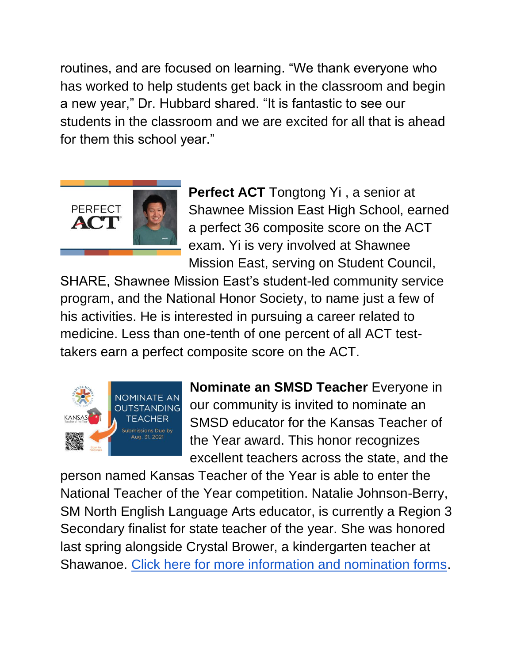routines, and are focused on learning. "We thank everyone who has worked to help students get back in the classroom and begin a new year," Dr. Hubbard shared. "It is fantastic to see our students in the classroom and we are excited for all that is ahead for them this school year."



**Perfect ACT** Tongtong Yi , a senior at Shawnee Mission East High School, earned a perfect 36 composite score on the ACT exam. Yi is very involved at Shawnee Mission East, serving on Student Council,

SHARE, Shawnee Mission East's student-led community service program, and the National Honor Society, to name just a few of his activities. He is interested in pursuing a career related to medicine. Less than one-tenth of one percent of all ACT testtakers earn a perfect composite score on the ACT.



**Nominate an SMSD Teacher** Everyone in our community is invited to nominate an SMSD educator for the Kansas Teacher of the Year award. This honor recognizes excellent teachers across the state, and the

person named Kansas Teacher of the Year is able to enter the National Teacher of the Year competition. Natalie Johnson-Berry, SM North English Language Arts educator, is currently a Region 3 Secondary finalist for state teacher of the year. She was honored last spring alongside Crystal Brower, a kindergarten teacher at Shawanoe. [Click here for more information and nomination forms.](https://www.smsd.org/about/news-archives/news-archive-details/~board/2021-2022-district-news/post/nominate-an-outstanding-smsd-teacher)